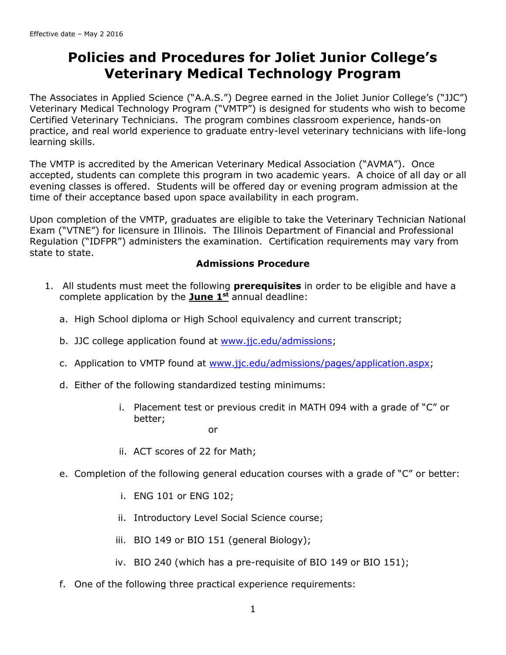# **Policies and Procedures for Joliet Junior College's Veterinary Medical Technology Program**

The Associates in Applied Science ("A.A.S.") Degree earned in the Joliet Junior College's ("JJC") Veterinary Medical Technology Program ("VMTP") is designed for students who wish to become Certified Veterinary Technicians. The program combines classroom experience, hands-on practice, and real world experience to graduate entry-level veterinary technicians with life-long learning skills.

The VMTP is accredited by the American Veterinary Medical Association ("AVMA"). Once accepted, students can complete this program in two academic years. A choice of all day or all evening classes is offered. Students will be offered day or evening program admission at the time of their acceptance based upon space availability in each program.

Upon completion of the VMTP, graduates are eligible to take the Veterinary Technician National Exam ("VTNE") for licensure in Illinois. The Illinois Department of Financial and Professional Regulation ("IDFPR") administers the examination. Certification requirements may vary from state to state.

# **Admissions Procedure**

- 1. All students must meet the following **prerequisites** in order to be eligible and have a complete application by the **June 1 st** annual deadline:
	- a. High School diploma or High School equivalency and current transcript;
	- b. JJC college application found at [www.jjc.edu/admissions;](http://www.jjc.edu/admissions)
	- c. Application to VMTP found at [www.jjc.edu/admissions/pages/application.aspx;](http://www.jjc.edu/admissions/pages/application.aspx)
	- d. Either of the following standardized testing minimums:
		- i. Placement test or previous credit in MATH 094 with a grade of "C" or better;
			- or
		- ii. ACT scores of 22 for Math;
	- e. Completion of the following general education courses with a grade of "C" or better:
		- i. ENG 101 or ENG 102;
		- ii. Introductory Level Social Science course;
		- iii. BIO 149 or BIO 151 (general Biology);
		- iv. BIO 240 (which has a pre-requisite of BIO 149 or BIO 151);
	- f. One of the following three practical experience requirements: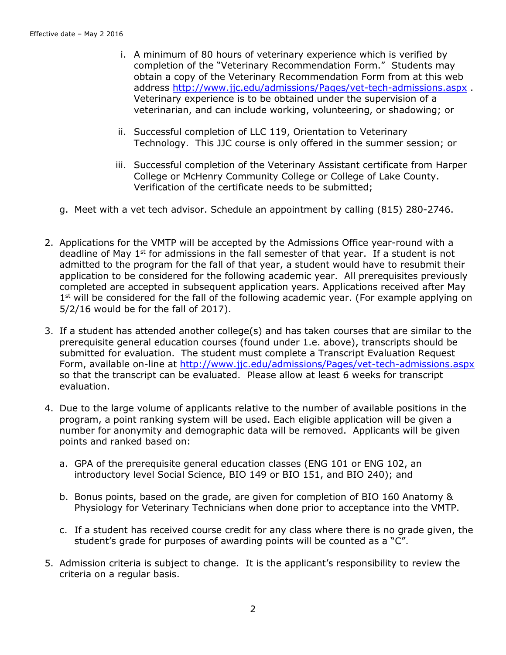- i. A minimum of 80 hours of veterinary experience which is verified by completion of the "Veterinary Recommendation Form." Students may obtain a copy of the Veterinary Recommendation Form from at this web address<http://www.jjc.edu/admissions/Pages/vet-tech-admissions.aspx> . Veterinary experience is to be obtained under the supervision of a veterinarian, and can include working, volunteering, or shadowing; or
- ii. Successful completion of LLC 119, Orientation to Veterinary Technology. This JJC course is only offered in the summer session; or
- iii. Successful completion of the Veterinary Assistant certificate from Harper College or McHenry Community College or College of Lake County. Verification of the certificate needs to be submitted;
- g. Meet with a vet tech advisor. Schedule an appointment by calling (815) 280-2746.
- 2. Applications for the VMTP will be accepted by the Admissions Office year-round with a deadline of May  $1<sup>st</sup>$  for admissions in the fall semester of that year. If a student is not admitted to the program for the fall of that year, a student would have to resubmit their application to be considered for the following academic year. All prerequisites previously completed are accepted in subsequent application years. Applications received after May 1<sup>st</sup> will be considered for the fall of the following academic year. (For example applying on 5/2/16 would be for the fall of 2017).
- 3. If a student has attended another college(s) and has taken courses that are similar to the prerequisite general education courses (found under 1.e. above), transcripts should be submitted for evaluation. The student must complete a Transcript Evaluation Request Form, available on-line at<http://www.jjc.edu/admissions/Pages/vet-tech-admissions.aspx> so that the transcript can be evaluated. Please allow at least 6 weeks for transcript evaluation.
- 4. Due to the large volume of applicants relative to the number of available positions in the program, a point ranking system will be used. Each eligible application will be given a number for anonymity and demographic data will be removed. Applicants will be given points and ranked based on:
	- a. GPA of the prerequisite general education classes (ENG 101 or ENG 102, an introductory level Social Science, BIO 149 or BIO 151, and BIO 240); and
	- b. Bonus points, based on the grade, are given for completion of BIO 160 Anatomy & Physiology for Veterinary Technicians when done prior to acceptance into the VMTP.
	- c. If a student has received course credit for any class where there is no grade given, the student's grade for purposes of awarding points will be counted as a "C".
- 5. Admission criteria is subject to change. It is the applicant's responsibility to review the criteria on a regular basis.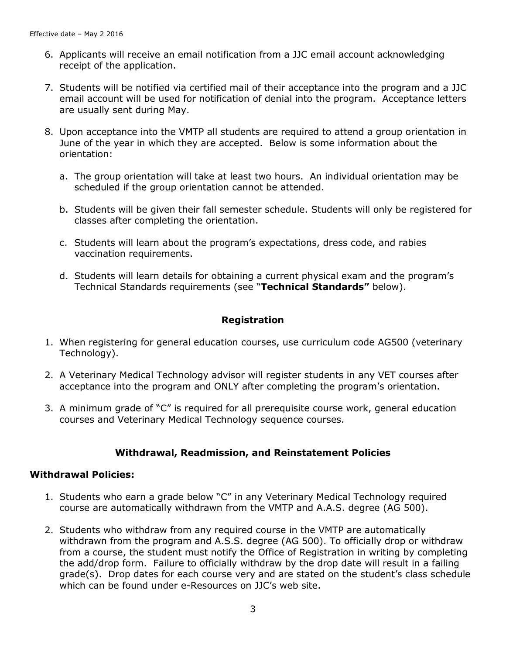- 6. Applicants will receive an email notification from a JJC email account acknowledging receipt of the application.
- 7. Students will be notified via certified mail of their acceptance into the program and a JJC email account will be used for notification of denial into the program. Acceptance letters are usually sent during May.
- 8. Upon acceptance into the VMTP all students are required to attend a group orientation in June of the year in which they are accepted. Below is some information about the orientation:
	- a. The group orientation will take at least two hours. An individual orientation may be scheduled if the group orientation cannot be attended.
	- b. Students will be given their fall semester schedule. Students will only be registered for classes after completing the orientation.
	- c. Students will learn about the program's expectations, dress code, and rabies vaccination requirements.
	- d. Students will learn details for obtaining a current physical exam and the program's Technical Standards requirements (see "**Technical Standards"** below).

# **Registration**

- 1. When registering for general education courses, use curriculum code AG500 (veterinary Technology).
- 2. A Veterinary Medical Technology advisor will register students in any VET courses after acceptance into the program and ONLY after completing the program's orientation.
- 3. A minimum grade of "C" is required for all prerequisite course work, general education courses and Veterinary Medical Technology sequence courses.

# **Withdrawal, Readmission, and Reinstatement Policies**

### **Withdrawal Policies:**

- 1. Students who earn a grade below "C" in any Veterinary Medical Technology required course are automatically withdrawn from the VMTP and A.A.S. degree (AG 500).
- 2. Students who withdraw from any required course in the VMTP are automatically withdrawn from the program and A.S.S. degree (AG 500). To officially drop or withdraw from a course, the student must notify the Office of Registration in writing by completing the add/drop form. Failure to officially withdraw by the drop date will result in a failing grade(s). Drop dates for each course very and are stated on the student's class schedule which can be found under e-Resources on JJC's web site.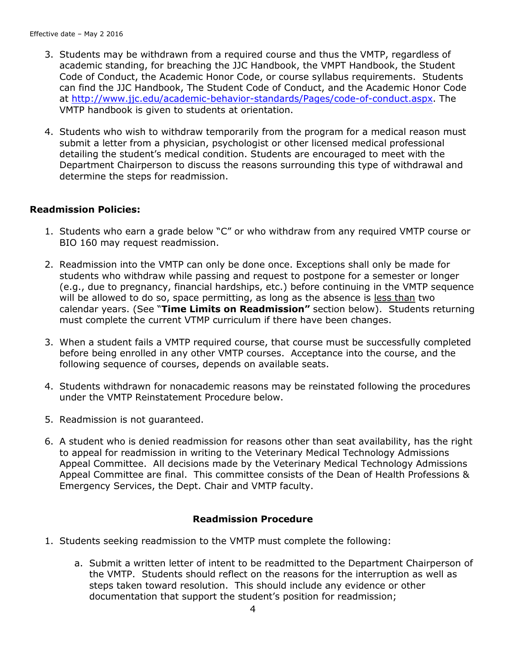- 3. Students may be withdrawn from a required course and thus the VMTP, regardless of academic standing, for breaching the JJC Handbook, the VMPT Handbook, the Student Code of Conduct, the Academic Honor Code, or course syllabus requirements. Students can find the JJC Handbook, The Student Code of Conduct, and the Academic Honor Code at [http://www.jjc.edu/academic-behavior-standards/Pages/code-of-conduct.aspx.](http://www.jjc.edu/academic-behavior-standards/Pages/code-of-conduct.aspx) The VMTP handbook is given to students at orientation.
- 4. Students who wish to withdraw temporarily from the program for a medical reason must submit a letter from a physician, psychologist or other licensed medical professional detailing the student's medical condition. Students are encouraged to meet with the Department Chairperson to discuss the reasons surrounding this type of withdrawal and determine the steps for readmission.

# **Readmission Policies:**

- 1. Students who earn a grade below "C" or who withdraw from any required VMTP course or BIO 160 may request readmission.
- 2. Readmission into the VMTP can only be done once. Exceptions shall only be made for students who withdraw while passing and request to postpone for a semester or longer (e.g., due to pregnancy, financial hardships, etc.) before continuing in the VMTP sequence will be allowed to do so, space permitting, as long as the absence is less than two calendar years. (See "**Time Limits on Readmission"** section below). Students returning must complete the current VTMP curriculum if there have been changes.
- 3. When a student fails a VMTP required course, that course must be successfully completed before being enrolled in any other VMTP courses. Acceptance into the course, and the following sequence of courses, depends on available seats.
- 4. Students withdrawn for nonacademic reasons may be reinstated following the procedures under the VMTP Reinstatement Procedure below.
- 5. Readmission is not guaranteed.
- 6. A student who is denied readmission for reasons other than seat availability, has the right to appeal for readmission in writing to the Veterinary Medical Technology Admissions Appeal Committee. All decisions made by the Veterinary Medical Technology Admissions Appeal Committee are final. This committee consists of the Dean of Health Professions & Emergency Services, the Dept. Chair and VMTP faculty.

### **Readmission Procedure**

- 1. Students seeking readmission to the VMTP must complete the following:
	- a. Submit a written letter of intent to be readmitted to the Department Chairperson of the VMTP. Students should reflect on the reasons for the interruption as well as steps taken toward resolution. This should include any evidence or other documentation that support the student's position for readmission;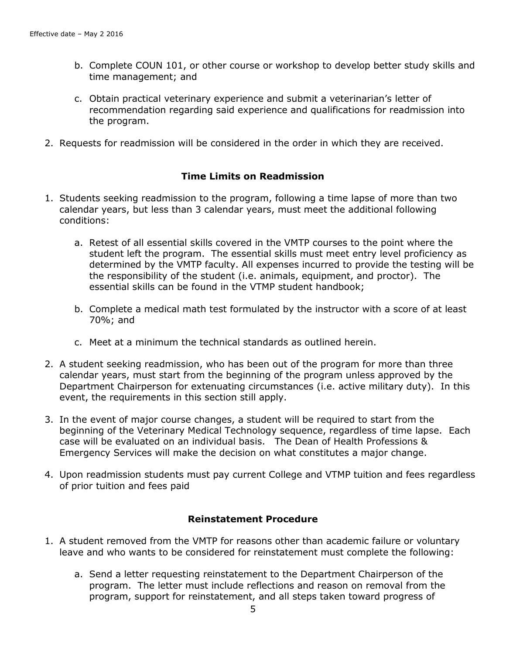- b. Complete COUN 101, or other course or workshop to develop better study skills and time management; and
- c. Obtain practical veterinary experience and submit a veterinarian's letter of recommendation regarding said experience and qualifications for readmission into the program.
- 2. Requests for readmission will be considered in the order in which they are received.

# **Time Limits on Readmission**

- 1. Students seeking readmission to the program, following a time lapse of more than two calendar years, but less than 3 calendar years, must meet the additional following conditions:
	- a. Retest of all essential skills covered in the VMTP courses to the point where the student left the program. The essential skills must meet entry level proficiency as determined by the VMTP faculty. All expenses incurred to provide the testing will be the responsibility of the student (i.e. animals, equipment, and proctor). The essential skills can be found in the VTMP student handbook;
	- b. Complete a medical math test formulated by the instructor with a score of at least 70%; and
	- c. Meet at a minimum the technical standards as outlined herein.
- 2. A student seeking readmission, who has been out of the program for more than three calendar years, must start from the beginning of the program unless approved by the Department Chairperson for extenuating circumstances (i.e. active military duty). In this event, the requirements in this section still apply.
- 3. In the event of major course changes, a student will be required to start from the beginning of the Veterinary Medical Technology sequence, regardless of time lapse. Each case will be evaluated on an individual basis. The Dean of Health Professions & Emergency Services will make the decision on what constitutes a major change.
- 4. Upon readmission students must pay current College and VTMP tuition and fees regardless of prior tuition and fees paid

# **Reinstatement Procedure**

- 1. A student removed from the VMTP for reasons other than academic failure or voluntary leave and who wants to be considered for reinstatement must complete the following:
	- a. Send a letter requesting reinstatement to the Department Chairperson of the program. The letter must include reflections and reason on removal from the program, support for reinstatement, and all steps taken toward progress of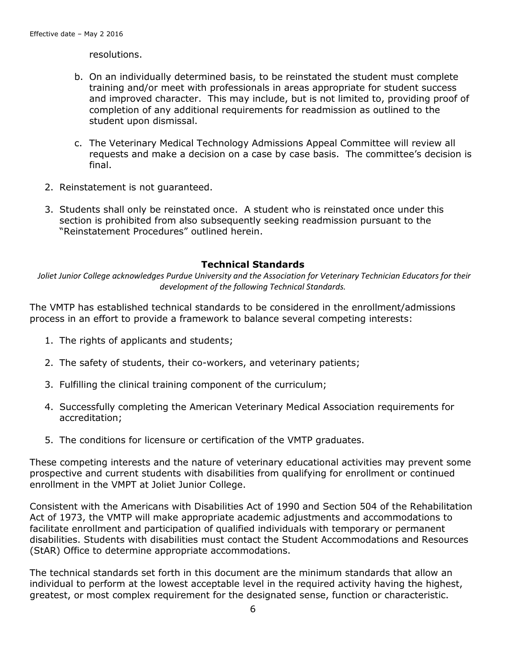resolutions.

- b. On an individually determined basis, to be reinstated the student must complete training and/or meet with professionals in areas appropriate for student success and improved character. This may include, but is not limited to, providing proof of completion of any additional requirements for readmission as outlined to the student upon dismissal.
- c. The Veterinary Medical Technology Admissions Appeal Committee will review all requests and make a decision on a case by case basis. The committee's decision is final.
- 2. Reinstatement is not guaranteed.
- 3. Students shall only be reinstated once. A student who is reinstated once under this section is prohibited from also subsequently seeking readmission pursuant to the "Reinstatement Procedures" outlined herein.

### **Technical Standards**

*Joliet Junior College acknowledges Purdue University and the Association for Veterinary Technician Educators for their development of the following Technical Standards.*

The VMTP has established technical standards to be considered in the enrollment/admissions process in an effort to provide a framework to balance several competing interests:

- 1. The rights of applicants and students;
- 2. The safety of students, their co-workers, and veterinary patients;
- 3. Fulfilling the clinical training component of the curriculum;
- 4. Successfully completing the American Veterinary Medical Association requirements for accreditation;
- 5. The conditions for licensure or certification of the VMTP graduates.

These competing interests and the nature of veterinary educational activities may prevent some prospective and current students with disabilities from qualifying for enrollment or continued enrollment in the VMPT at Joliet Junior College.

Consistent with the Americans with Disabilities Act of 1990 and Section 504 of the Rehabilitation Act of 1973, the VMTP will make appropriate academic adjustments and accommodations to facilitate enrollment and participation of qualified individuals with temporary or permanent disabilities. Students with disabilities must contact the Student Accommodations and Resources (StAR) Office to determine appropriate accommodations.

The technical standards set forth in this document are the minimum standards that allow an individual to perform at the lowest acceptable level in the required activity having the highest, greatest, or most complex requirement for the designated sense, function or characteristic.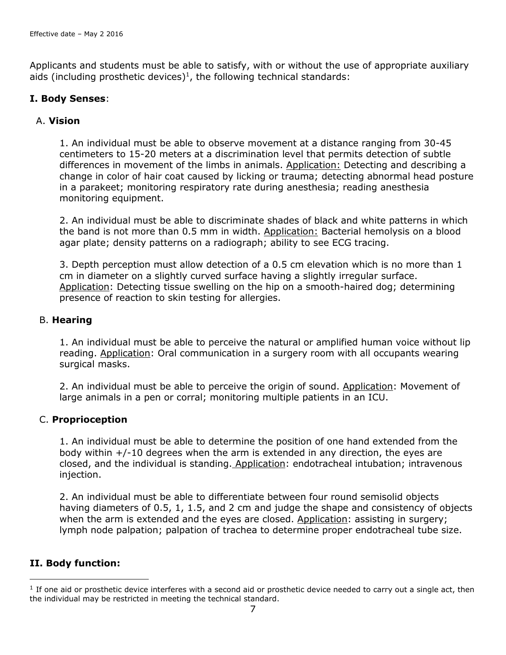Applicants and students must be able to satisfy, with or without the use of appropriate auxiliary aids (including prosthetic devices)<sup>1</sup>, the following technical standards:

# **I. Body Senses**:

# A. **Vision**

1. An individual must be able to observe movement at a distance ranging from 30-45 centimeters to 15-20 meters at a discrimination level that permits detection of subtle differences in movement of the limbs in animals. Application: Detecting and describing a change in color of hair coat caused by licking or trauma; detecting abnormal head posture in a parakeet; monitoring respiratory rate during anesthesia; reading anesthesia monitoring equipment.

2. An individual must be able to discriminate shades of black and white patterns in which the band is not more than 0.5 mm in width. Application: Bacterial hemolysis on a blood agar plate; density patterns on a radiograph; ability to see ECG tracing.

3. Depth perception must allow detection of a 0.5 cm elevation which is no more than 1 cm in diameter on a slightly curved surface having a slightly irregular surface. Application: Detecting tissue swelling on the hip on a smooth-haired dog; determining presence of reaction to skin testing for allergies.

### B. **Hearing**

1. An individual must be able to perceive the natural or amplified human voice without lip reading. Application: Oral communication in a surgery room with all occupants wearing surgical masks.

2. An individual must be able to perceive the origin of sound. Application: Movement of large animals in a pen or corral; monitoring multiple patients in an ICU.

### C. **Proprioception**

1. An individual must be able to determine the position of one hand extended from the body within +/-10 degrees when the arm is extended in any direction, the eyes are closed, and the individual is standing. Application: endotracheal intubation; intravenous injection.

2. An individual must be able to differentiate between four round semisolid objects having diameters of 0.5, 1, 1.5, and 2 cm and judge the shape and consistency of objects when the arm is extended and the eyes are closed. Application: assisting in surgery; lymph node palpation; palpation of trachea to determine proper endotracheal tube size.

# **II. Body function:**

j

 $1$  If one aid or prosthetic device interferes with a second aid or prosthetic device needed to carry out a single act, then the individual may be restricted in meeting the technical standard.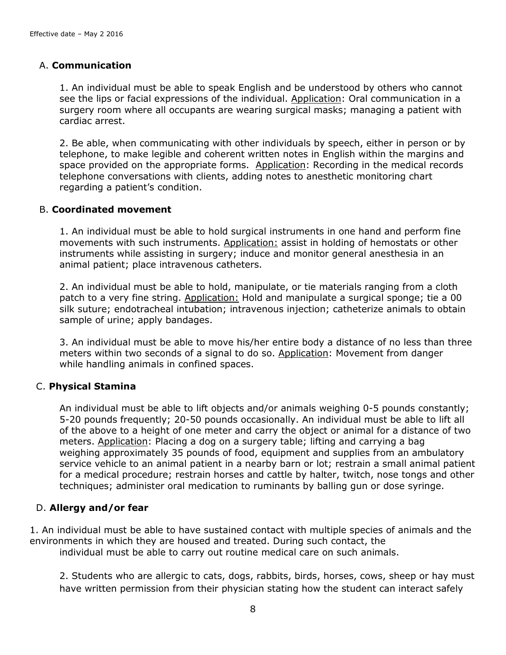# A. **Communication**

1. An individual must be able to speak English and be understood by others who cannot see the lips or facial expressions of the individual. Application: Oral communication in a surgery room where all occupants are wearing surgical masks; managing a patient with cardiac arrest.

2. Be able, when communicating with other individuals by speech, either in person or by telephone, to make legible and coherent written notes in English within the margins and space provided on the appropriate forms. Application: Recording in the medical records telephone conversations with clients, adding notes to anesthetic monitoring chart regarding a patient's condition.

### B. **Coordinated movement**

1. An individual must be able to hold surgical instruments in one hand and perform fine movements with such instruments. Application: assist in holding of hemostats or other instruments while assisting in surgery; induce and monitor general anesthesia in an animal patient; place intravenous catheters.

2. An individual must be able to hold, manipulate, or tie materials ranging from a cloth patch to a very fine string. Application: Hold and manipulate a surgical sponge; tie a 00 silk suture; endotracheal intubation; intravenous injection; catheterize animals to obtain sample of urine; apply bandages.

3. An individual must be able to move his/her entire body a distance of no less than three meters within two seconds of a signal to do so. Application: Movement from danger while handling animals in confined spaces.

### C. **Physical Stamina**

An individual must be able to lift objects and/or animals weighing 0-5 pounds constantly; 5-20 pounds frequently; 20-50 pounds occasionally. An individual must be able to lift all of the above to a height of one meter and carry the object or animal for a distance of two meters. Application: Placing a dog on a surgery table; lifting and carrying a bag weighing approximately 35 pounds of food, equipment and supplies from an ambulatory service vehicle to an animal patient in a nearby barn or lot; restrain a small animal patient for a medical procedure; restrain horses and cattle by halter, twitch, nose tongs and other techniques; administer oral medication to ruminants by balling gun or dose syringe.

# D. **Allergy and/or fear**

1. An individual must be able to have sustained contact with multiple species of animals and the environments in which they are housed and treated. During such contact, the individual must be able to carry out routine medical care on such animals.

2. Students who are allergic to cats, dogs, rabbits, birds, horses, cows, sheep or hay must have written permission from their physician stating how the student can interact safely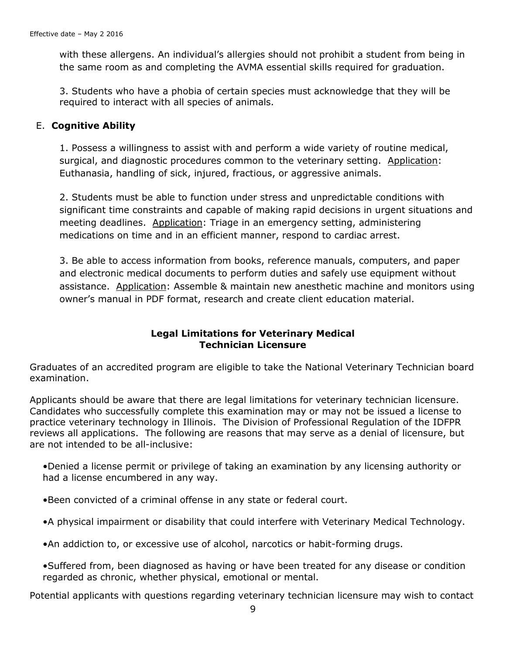with these allergens. An individual's allergies should not prohibit a student from being in the same room as and completing the AVMA essential skills required for graduation.

3. Students who have a phobia of certain species must acknowledge that they will be required to interact with all species of animals.

#### E. **Cognitive Ability**

1. Possess a willingness to assist with and perform a wide variety of routine medical, surgical, and diagnostic procedures common to the veterinary setting. Application: Euthanasia, handling of sick, injured, fractious, or aggressive animals.

2. Students must be able to function under stress and unpredictable conditions with significant time constraints and capable of making rapid decisions in urgent situations and meeting deadlines. Application: Triage in an emergency setting, administering medications on time and in an efficient manner, respond to cardiac arrest.

3. Be able to access information from books, reference manuals, computers, and paper and electronic medical documents to perform duties and safely use equipment without assistance. Application: Assemble & maintain new anesthetic machine and monitors using owner's manual in PDF format, research and create client education material.

# **Legal Limitations for Veterinary Medical Technician Licensure**

Graduates of an accredited program are eligible to take the National Veterinary Technician board examination.

Applicants should be aware that there are legal limitations for veterinary technician licensure. Candidates who successfully complete this examination may or may not be issued a license to practice veterinary technology in Illinois. The Division of Professional Regulation of the IDFPR reviews all applications. The following are reasons that may serve as a denial of licensure, but are not intended to be all-inclusive:

•Denied a license permit or privilege of taking an examination by any licensing authority or had a license encumbered in any way.

- •Been convicted of a criminal offense in any state or federal court.
- •A physical impairment or disability that could interfere with Veterinary Medical Technology.
- •An addiction to, or excessive use of alcohol, narcotics or habit-forming drugs.
- •Suffered from, been diagnosed as having or have been treated for any disease or condition regarded as chronic, whether physical, emotional or mental.

Potential applicants with questions regarding veterinary technician licensure may wish to contact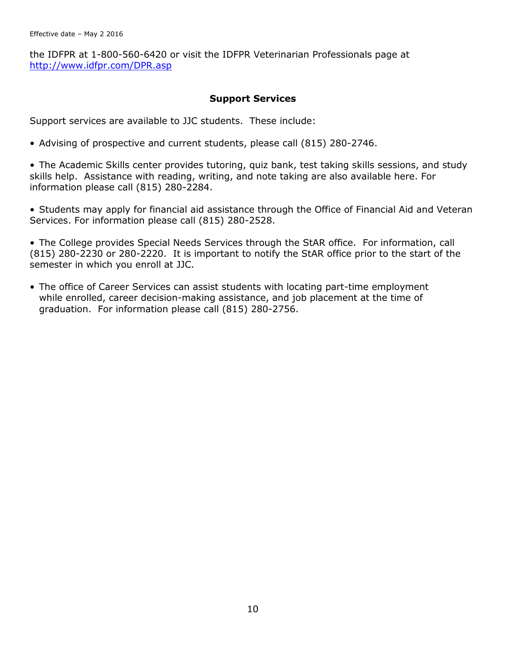the IDFPR at 1-800-560-6420 or visit the IDFPR Veterinarian Professionals page at <http://www.idfpr.com/DPR.asp>

### **Support Services**

Support services are available to JJC students. These include:

• Advising of prospective and current students, please call (815) 280-2746.

• The Academic Skills center provides tutoring, quiz bank, test taking skills sessions, and study skills help. Assistance with reading, writing, and note taking are also available here. For information please call (815) 280-2284.

• Students may apply for financial aid assistance through the Office of Financial Aid and Veteran Services. For information please call (815) 280-2528.

• The College provides Special Needs Services through the StAR office. For information, call (815) 280-2230 or 280-2220. It is important to notify the StAR office prior to the start of the semester in which you enroll at JJC.

• The office of Career Services can assist students with locating part-time employment while enrolled, career decision-making assistance, and job placement at the time of graduation. For information please call (815) 280-2756.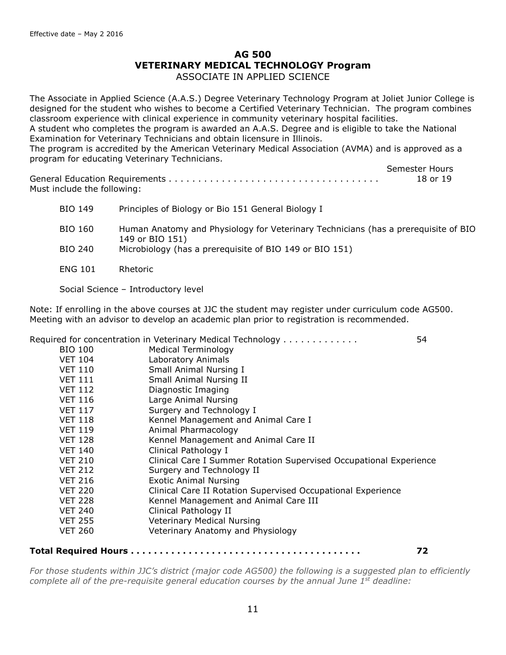#### **AG 500 VETERINARY MEDICAL TECHNOLOGY Program** ASSOCIATE IN APPLIED SCIENCE

The Associate in Applied Science (A.A.S.) Degree Veterinary Technology Program at Joliet Junior College is designed for the student who wishes to become a Certified Veterinary Technician. The program combines classroom experience with clinical experience in community veterinary hospital facilities.

A student who completes the program is awarded an A.A.S. Degree and is eligible to take the National Examination for Veterinary Technicians and obtain licensure in Illinois.

The program is accredited by the American Veterinary Medical Association (AVMA) and is approved as a program for educating Veterinary Technicians.

|                             | Semester Hours |
|-----------------------------|----------------|
|                             | 18 or 19       |
| Must include the following: |                |

| <b>BIO 149</b> | Principles of Biology or Bio 151 General Biology I                                                    |
|----------------|-------------------------------------------------------------------------------------------------------|
| BIO 160        | Human Anatomy and Physiology for Veterinary Technicians (has a prerequisite of BIO<br>149 or BIO 151) |
| BIO 240        | Microbiology (has a prerequisite of BIO 149 or BIO 151)                                               |
| <b>ENG 101</b> | Rhetoric                                                                                              |

Social Science – Introductory level

Note: If enrolling in the above courses at JJC the student may register under curriculum code AG500. Meeting with an advisor to develop an academic plan prior to registration is recommended.

Required for concentration in Veterinary Medical Technology . . . . . . . . . . . . . 54

| <b>BIO 100</b> | <b>Medical Terminology</b>                                         |
|----------------|--------------------------------------------------------------------|
| <b>VET 104</b> | Laboratory Animals                                                 |
| <b>VET 110</b> | Small Animal Nursing I                                             |
| <b>VET 111</b> | Small Animal Nursing II                                            |
| <b>VET 112</b> | Diagnostic Imaging                                                 |
| <b>VET 116</b> | Large Animal Nursing                                               |
| <b>VET 117</b> | Surgery and Technology I                                           |
| <b>VET 118</b> | Kennel Management and Animal Care I                                |
| <b>VET 119</b> | Animal Pharmacology                                                |
| <b>VET 128</b> | Kennel Management and Animal Care II                               |
| <b>VET 140</b> | Clinical Pathology I                                               |
| <b>VET 210</b> | Clinical Care I Summer Rotation Supervised Occupational Experience |
| <b>VET 212</b> | Surgery and Technology II                                          |
| <b>VET 216</b> | <b>Exotic Animal Nursing</b>                                       |
| <b>VET 220</b> | Clinical Care II Rotation Supervised Occupational Experience       |
| <b>VET 228</b> | Kennel Management and Animal Care III                              |
| <b>VET 240</b> | Clinical Pathology II                                              |
| <b>VET 255</b> | <b>Veterinary Medical Nursing</b>                                  |
| <b>VET 260</b> | Veterinary Anatomy and Physiology                                  |
|                |                                                                    |

# **Total Required Hours . . . . . . . . . . . . . . . . . . . . . . . . . . . . . . . . . . . . . . . . 72**

*For those students within JJC's district (major code AG500) the following is a suggested plan to efficiently complete all of the pre-requisite general education courses by the annual June 1 st deadline:*